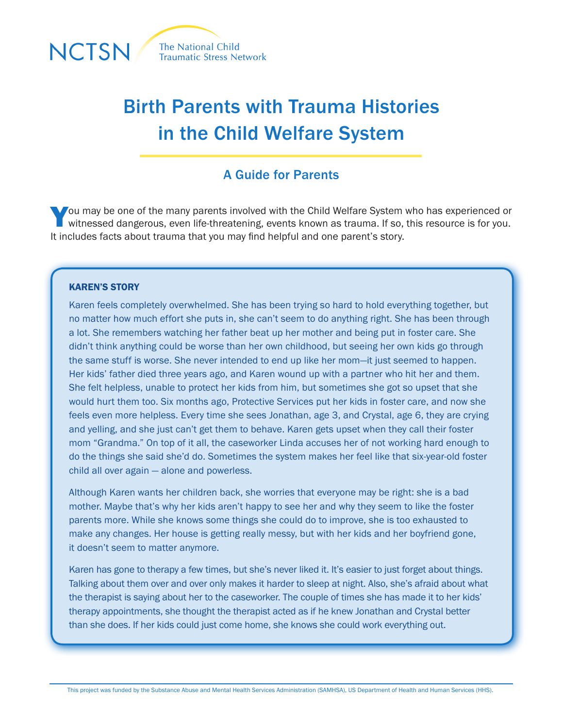

# Birth Parents with Trauma Histories in the Child Welfare System

# A Guide for Parents

You may be one of the many parents involved with the Child Welfare System who has experienced or witnessed dangerous, even life-threatening, events known as trauma. If so, this resource is for you. It includes facts about trauma that you may find helpful and one parent's story.

#### KAREN'S STORY

Karen feels completely overwhelmed. She has been trying so hard to hold everything together, but no matter how much effort she puts in, she can't seem to do anything right. She has been through a lot. She remembers watching her father beat up her mother and being put in foster care. She didn't think anything could be worse than her own childhood, but seeing her own kids go through the same stuff is worse. She never intended to end up like her mom—it just seemed to happen. Her kids' father died three years ago, and Karen wound up with a partner who hit her and them. She felt helpless, unable to protect her kids from him, but sometimes she got so upset that she would hurt them too. Six months ago, Protective Services put her kids in foster care, and now she feels even more helpless. Every time she sees Jonathan, age 3, and Crystal, age 6, they are crying and yelling, and she just can't get them to behave. Karen gets upset when they call their foster mom "Grandma." On top of it all, the caseworker Linda accuses her of not working hard enough to do the things she said she'd do. Sometimes the system makes her feel like that six-year-old foster child all over again — alone and powerless.

Although Karen wants her children back, she worries that everyone may be right: she is a bad mother. Maybe that's why her kids aren't happy to see her and why they seem to like the foster parents more. While she knows some things she could do to improve, she is too exhausted to make any changes. Her house is getting really messy, but with her kids and her boyfriend gone, it doesn't seem to matter anymore.

Karen has gone to therapy a few times, but she's never liked it. It's easier to just forget about things. Talking about them over and over only makes it harder to sleep at night. Also, she's afraid about what the therapist is saying about her to the caseworker. The couple of times she has made it to her kids' therapy appointments, she thought the therapist acted as if he knew Jonathan and Crystal better than she does. If her kids could just come home, she knows she could work everything out.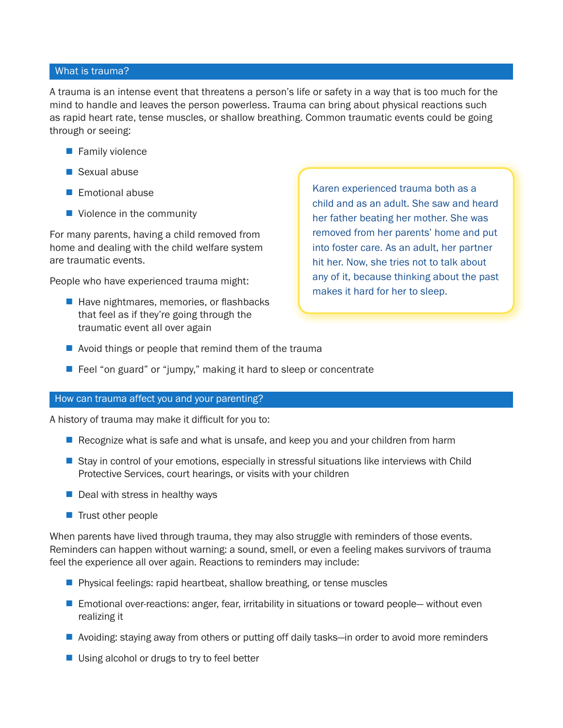# What is trauma?

A trauma is an intense event that threatens a person's life or safety in a way that is too much for the mind to handle and leaves the person powerless. Trauma can bring about physical reactions such as rapid heart rate, tense muscles, or shallow breathing. Common traumatic events could be going through or seeing:

- $\blacksquare$  Family violence
- $\blacksquare$  Sexual abuse
- $\blacksquare$  Emotional abuse
- $\blacksquare$  Violence in the community

For many parents, having a child removed from home and dealing with the child welfare system are traumatic events.

People who have experienced trauma might:

 $\blacksquare$  Have nightmares, memories, or flashbacks that feel as if they're going through the traumatic event all over again

Karen experienced trauma both as a child and as an adult. She saw and heard her father beating her mother. She was removed from her parents' home and put into foster care. As an adult, her partner hit her. Now, she tries not to talk about any of it, because thinking about the past makes it hard for her to sleep.

- $\blacksquare$  Avoid things or people that remind them of the trauma
- $\blacksquare$  Feel "on guard" or "jumpy," making it hard to sleep or concentrate

#### How can trauma affect you and your parenting?

A history of trauma may make it difficult for you to:

- Recognize what is safe and what is unsafe, and keep you and your children from harm
- **E** Stay in control of your emotions, especially in stressful situations like interviews with Child Protective Services, court hearings, or visits with your children
- $\blacksquare$  Deal with stress in healthy ways
- $\blacksquare$  Trust other people

When parents have lived through trauma, they may also struggle with reminders of those events. Reminders can happen without warning: a sound, smell, or even a feeling makes survivors of trauma feel the experience all over again. Reactions to reminders may include:

- $\blacksquare$  Physical feelings: rapid heartbeat, shallow breathing, or tense muscles
- Emotional over-reactions: anger, fear, irritability in situations or toward people— without even realizing it
- Avoiding: staying away from others or putting off daily tasks—in order to avoid more reminders
- $\blacksquare$  Using alcohol or drugs to try to feel better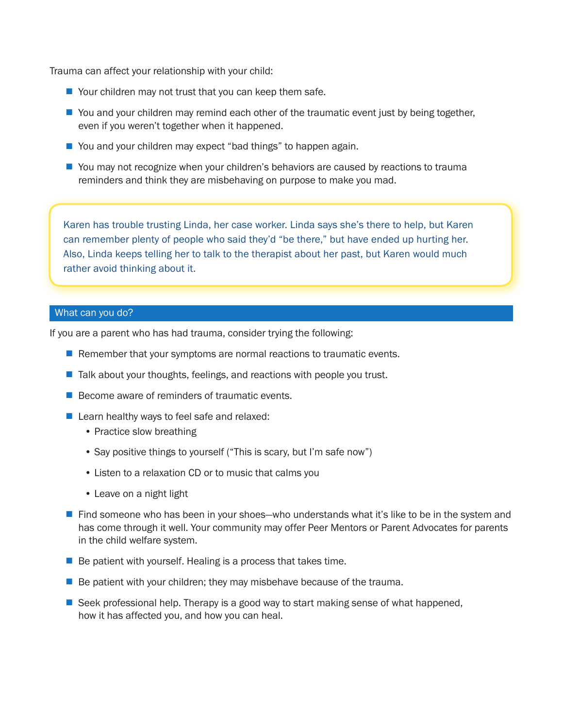Trauma can affect your relationship with your child:

- $\blacksquare$  Your children may not trust that you can keep them safe.
- $\blacksquare$  You and your children may remind each other of the traumatic event just by being together, even if you weren't together when it happened.
- You and your children may expect "bad things" to happen again.
- You may not recognize when your children's behaviors are caused by reactions to trauma reminders and think they are misbehaving on purpose to make you mad.

Karen has trouble trusting Linda, her case worker. Linda says she's there to help, but Karen can remember plenty of people who said they'd "be there," but have ended up hurting her. Also, Linda keeps telling her to talk to the therapist about her past, but Karen would much rather avoid thinking about it.

# What can you do?

If you are a parent who has had trauma, consider trying the following:

- **n** Remember that your symptoms are normal reactions to traumatic events.
- $\blacksquare$  Talk about your thoughts, feelings, and reactions with people you trust.
- $\blacksquare$  Become aware of reminders of traumatic events.
- $\blacksquare$  Learn healthy ways to feel safe and relaxed:
	- Practice slow breathing
	- Say positive things to yourself ("This is scary, but I'm safe now")
	- Listen to a relaxation CD or to music that calms you
	- Leave on a night light
- Find someone who has been in your shoes—who understands what it's like to be in the system and has come through it well. Your community may offer Peer Mentors or Parent Advocates for parents in the child welfare system.
- $\blacksquare$  Be patient with yourself. Healing is a process that takes time.
- $\blacksquare$  Be patient with your children; they may misbehave because of the trauma.
- $\blacksquare$  Seek professional help. Therapy is a good way to start making sense of what happened, how it has affected you, and how you can heal.